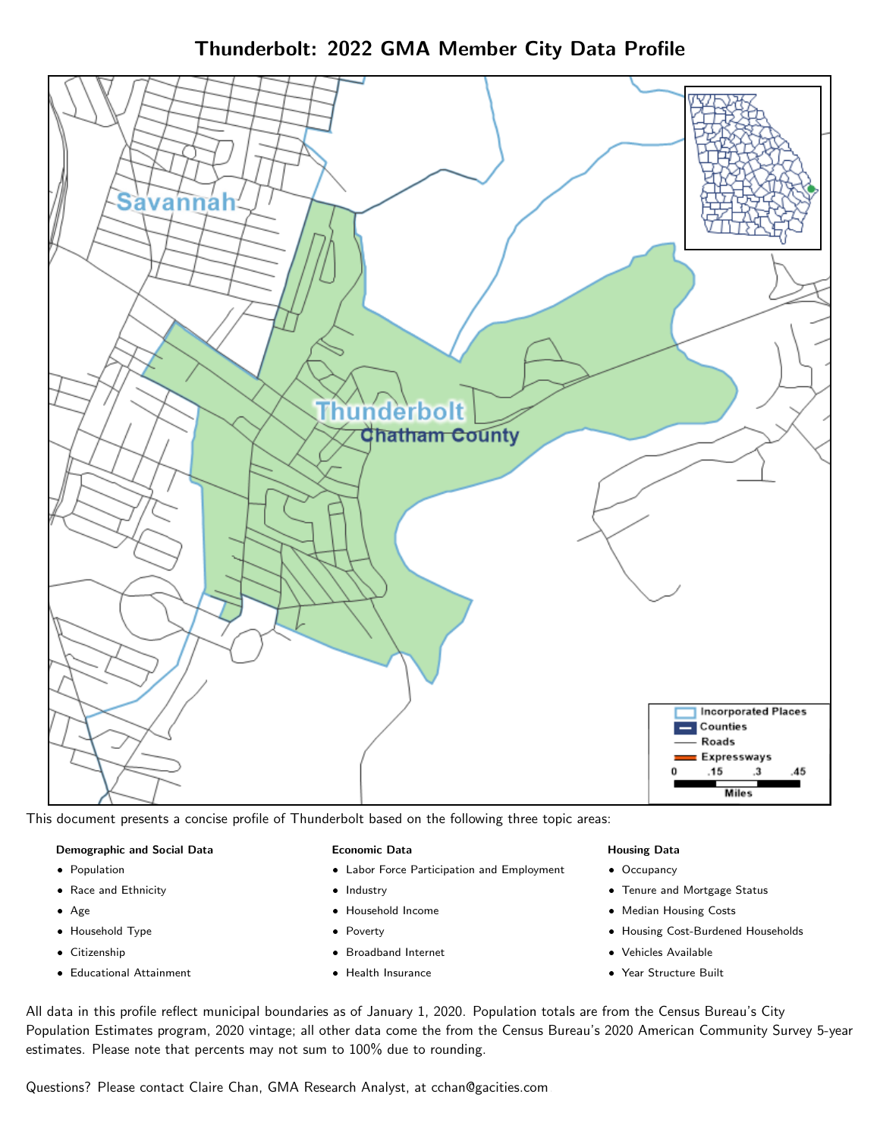Thunderbolt: 2022 GMA Member City Data Profile



This document presents a concise profile of Thunderbolt based on the following three topic areas:

### Demographic and Social Data

- **•** Population
- Race and Ethnicity
- Age
- Household Type
- **Citizenship**
- Educational Attainment

#### Economic Data

- Labor Force Participation and Employment
- Industry
- Household Income
- Poverty
- Broadband Internet
- Health Insurance

### Housing Data

- Occupancy
- Tenure and Mortgage Status
- Median Housing Costs
- Housing Cost-Burdened Households
- Vehicles Available
- Year Structure Built

All data in this profile reflect municipal boundaries as of January 1, 2020. Population totals are from the Census Bureau's City Population Estimates program, 2020 vintage; all other data come the from the Census Bureau's 2020 American Community Survey 5-year estimates. Please note that percents may not sum to 100% due to rounding.

Questions? Please contact Claire Chan, GMA Research Analyst, at [cchan@gacities.com.](mailto:cchan@gacities.com)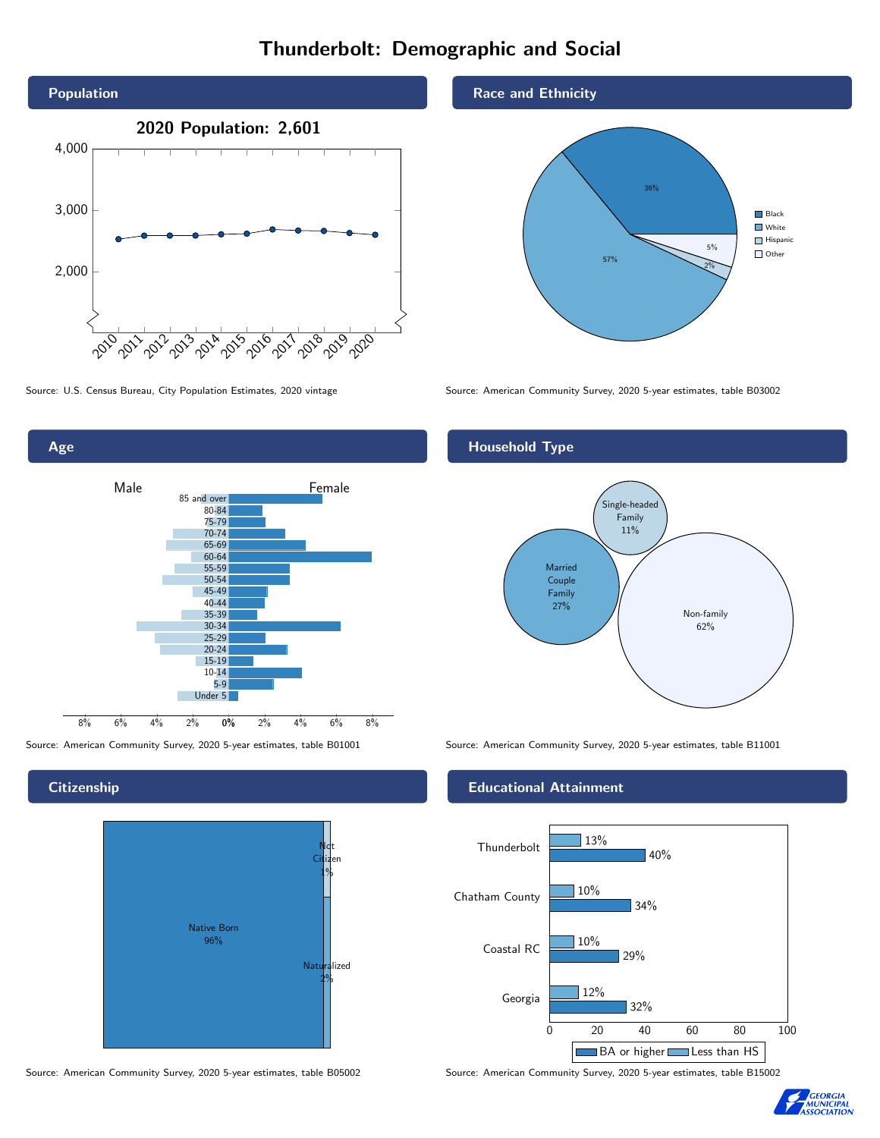# Thunderbolt: Demographic and Social





**Citizenship** 



Source: American Community Survey, 2020 5-year estimates, table B05002 Source: American Community Survey, 2020 5-year estimates, table B15002

### Race and Ethnicity



Source: U.S. Census Bureau, City Population Estimates, 2020 vintage Source: American Community Survey, 2020 5-year estimates, table B03002

## Household Type



Source: American Community Survey, 2020 5-year estimates, table B01001 Source: American Community Survey, 2020 5-year estimates, table B11001

### Educational Attainment



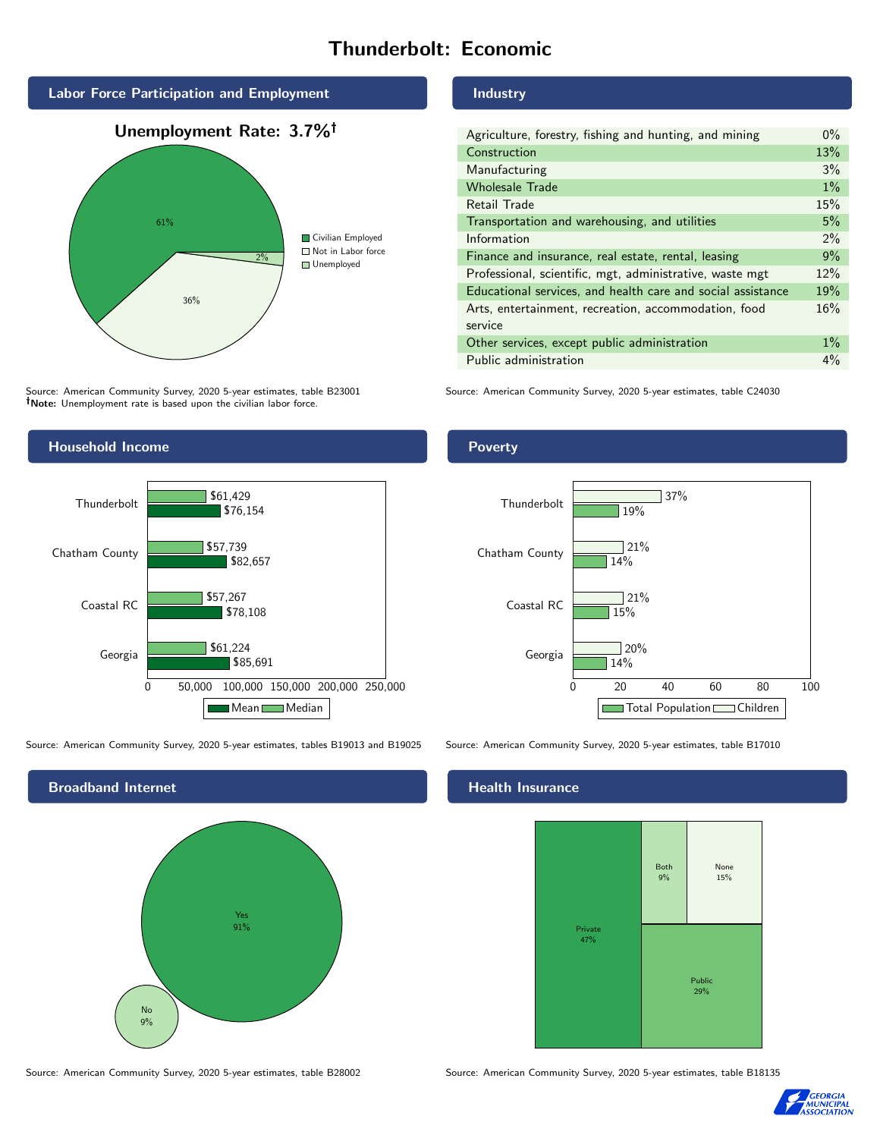# Thunderbolt: Economic



Source: American Community Survey, 2020 5-year estimates, table B23001 Note: Unemployment rate is based upon the civilian labor force.

#### Industry

Poverty

| Agriculture, forestry, fishing and hunting, and mining      | $0\%$ |
|-------------------------------------------------------------|-------|
| Construction                                                | 13%   |
| Manufacturing                                               | 3%    |
| <b>Wholesale Trade</b>                                      | 1%    |
| Retail Trade                                                | 15%   |
| Transportation and warehousing, and utilities               | 5%    |
| Information                                                 | $2\%$ |
| Finance and insurance, real estate, rental, leasing         | 9%    |
| Professional, scientific, mgt, administrative, waste mgt    | 12%   |
| Educational services, and health care and social assistance | 19%   |
| Arts, entertainment, recreation, accommodation, food        | 16%   |
| service                                                     |       |
| Other services, except public administration                | $1\%$ |
| Public administration                                       | $4\%$ |

Source: American Community Survey, 2020 5-year estimates, table C24030



Source: American Community Survey, 2020 5-year estimates, tables B19013 and B19025 Source: American Community Survey, 2020 5-year estimates, table B17010



Georgia 14%  $720%$ 

 $15%$ 

 $\sqrt{21\%}$ 

14%

19%

37%

 $721%$ 

0 20 40 60 80 100

Total Population Children

### Health Insurance

Coastal RC

Thunderbolt

Chatham County



Source: American Community Survey, 2020 5-year estimates, table B28002 Source: American Community Survey, 2020 5-year estimates, table B18135